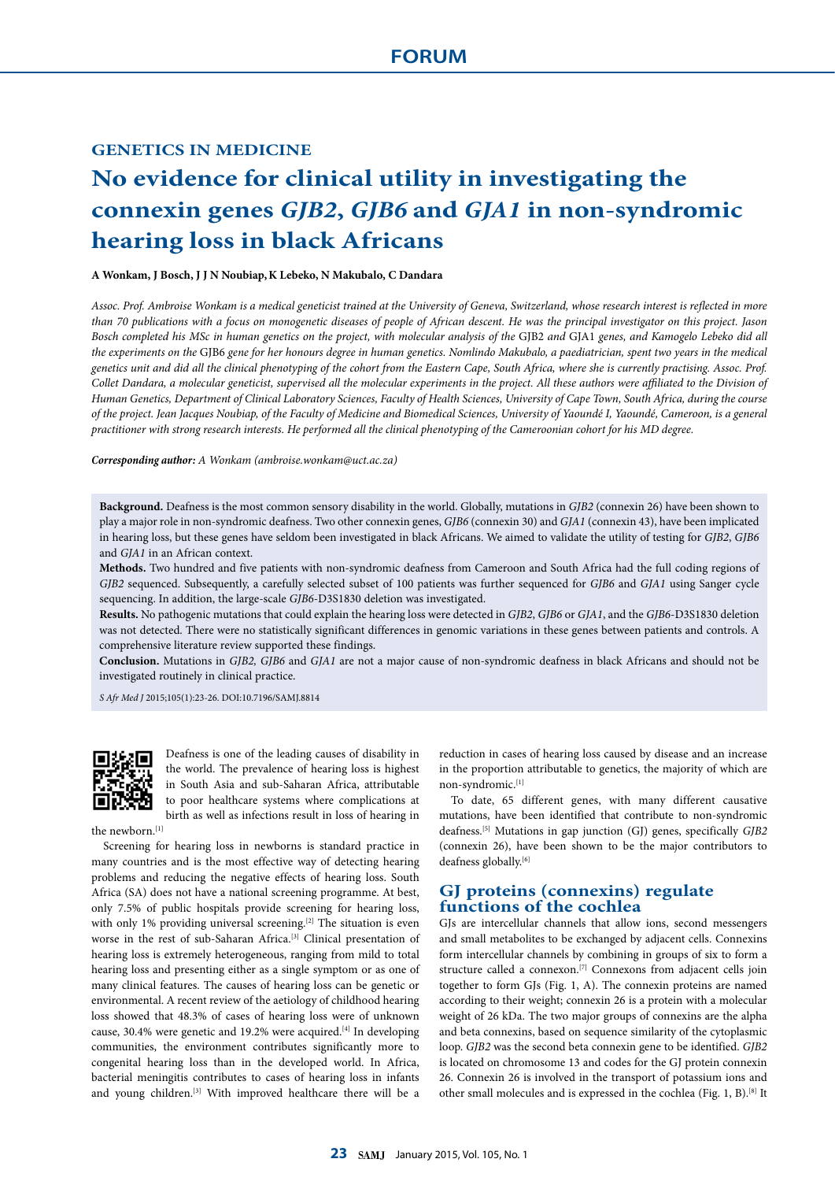### **GENETICS IN MEDICINE**

# **No evidence for clinical utility in investigating the connexin genes** *GJB2***,** *GJB6* **and** *GJA1* **in non-syndromic hearing loss in black Africans**

#### **A Wonkam, J Bosch, J J N Noubiap,K Lebeko, N Makubalo, C Dandara**

*Assoc. Prof. Ambroise Wonkam is a medical geneticist trained at the University of Geneva, Switzerland, whose research interest is reflected in more than 70 publications with a focus on monogenetic diseases of people of African descent. He was the principal investigator on this project. Jason*  Bosch completed his MSc in human genetics on the project, with molecular analysis of the GJB2 and GJA1 genes, and Kamogelo Lebeko did all *the experiments on the* GJB6 *gene for her honours degree in human genetics. Nomlindo Makubalo, a paediatrician, spent two years in the medical genetics unit and did all the clinical phenotyping of the cohort from the Eastern Cape, South Africa, where she is currently practising. Assoc. Prof. Collet Dandara, a molecular geneticist, supervised all the molecular experiments in the project. All these authors were affiliated to the Division of Human Genetics, Department of Clinical Laboratory Sciences, Faculty of Health Sciences, University of Cape Town, South Africa, during the course of the project. Jean Jacques Noubiap, of the Faculty of Medicine and Biomedical Sciences, University of Yaoundé I, Yaoundé, Cameroon, is a general practitioner with strong research interests. He performed all the clinical phenotyping of the Cameroonian cohort for his MD degree.*

*Corresponding author: A Wonkam (ambroise.wonkam@uct.ac.za)*

**Background.** Deafness is the most common sensory disability in the world. Globally, mutations in *GJB2* (connexin 26) have been shown to play a major role in non-syndromic deafness. Two other connexin genes, *GJB6* (connexin 30) and *GJA1* (connexin 43), have been implicated in hearing loss, but these genes have seldom been investigated in black Africans. We aimed to validate the utility of testing for *GJB2*, *GJB6* and *GJA1* in an African context.

**Methods.** Two hundred and five patients with non-syndromic deafness from Cameroon and South Africa had the full coding regions of *GJB2* sequenced. Subsequently, a carefully selected subset of 100 patients was further sequenced for *GJB6* and *GJA1* using Sanger cycle sequencing. In addition, the large-scale *GJB6*-D3S1830 deletion was investigated.

**Results.** No pathogenic mutations that could explain the hearing loss were detected in *GJB2*, *GJB6* or *GJA1*, and the *GJB6*-D3S1830 deletion was not detected. There were no statistically significant differences in genomic variations in these genes between patients and controls. A comprehensive literature review supported these findings.

**Conclusion.** Mutations in *GJB2, GJB6* and *GJA1* are not a major cause of non-syndromic deafness in black Africans and should not be investigated routinely in clinical practice.

*S Afr Med J* 2015;105(1):23-26. DOI:10.7196/SAMJ.8814



Deafness is one of the leading causes of disability in the world. The prevalence of hearing loss is highest in South Asia and sub-Saharan Africa, attributable to poor healthcare systems where complications at birth as well as infections result in loss of hearing in

the newborn.[1]

Screening for hearing loss in newborns is standard practice in many countries and is the most effective way of detecting hearing problems and reducing the negative effects of hearing loss. South Africa (SA) does not have a national screening programme. At best, only 7.5% of public hospitals provide screening for hearing loss, with only 1% providing universal screening.<sup>[2]</sup> The situation is even worse in the rest of sub-Saharan Africa.<sup>[3]</sup> Clinical presentation of hearing loss is extremely heterogeneous, ranging from mild to total hearing loss and presenting either as a single symptom or as one of many clinical features. The causes of hearing loss can be genetic or environmental. A recent review of the aetiology of childhood hearing loss showed that 48.3% of cases of hearing loss were of unknown cause, 30.4% were genetic and 19.2% were acquired.[4] In developing communities, the environment contributes significantly more to congenital hearing loss than in the developed world. In Africa, bacterial meningitis contributes to cases of hearing loss in infants and young children.[3] With improved healthcare there will be a

reduction in cases of hearing loss caused by disease and an increase in the proportion attributable to genetics, the majority of which are non-syndromic.[1]

To date, 65 different genes, with many different causative mutations, have been identified that contribute to non-syndromic deafness.[5] Mutations in gap junction (GJ) genes, specifically *GJB2* (connexin 26), have been shown to be the major contributors to deafness globally.<sup>[6]</sup>

### **GJ proteins (connexins) regulate functions of the cochlea**

GJs are intercellular channels that allow ions, second messengers and small metabolites to be exchanged by adjacent cells. Connexins form intercellular channels by combining in groups of six to form a structure called a connexon.[7] Connexons from adjacent cells join together to form GJs (Fig. 1, A). The connexin proteins are named according to their weight; connexin 26 is a protein with a molecular weight of 26 kDa. The two major groups of connexins are the alpha and beta connexins, based on sequence similarity of the cytoplasmic loop. *GJB2* was the second beta connexin gene to be identified. *GJB2* is located on chromosome 13 and codes for the GJ protein connexin 26. Connexin 26 is involved in the transport of potassium ions and other small molecules and is expressed in the cochlea (Fig. 1, B).[8] It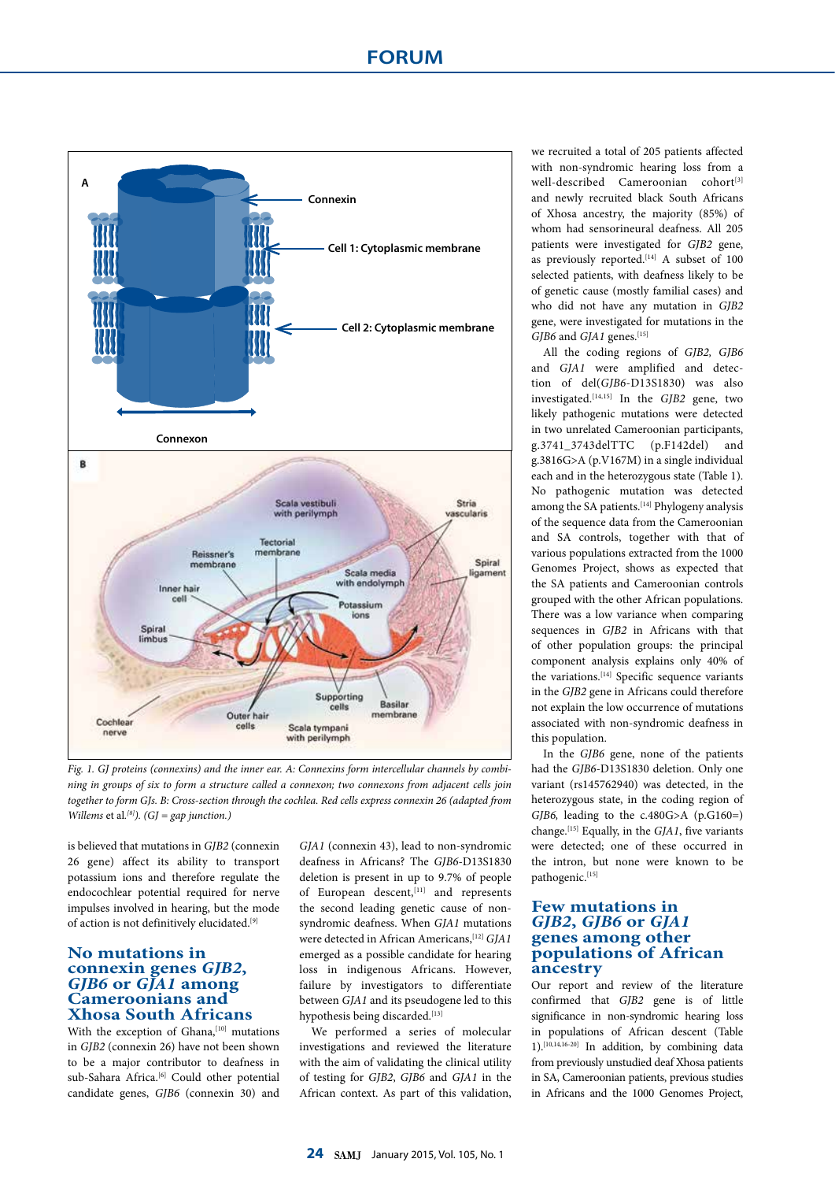

*Fig. 1. GJ proteins (connexins) and the inner ear. A: Connexins form intercellular channels by combining in groups of six to form a structure called a connexon; two connexons from adjacent cells join together to form GJs. B: Cross-section through the cochlea. Red cells express connexin 26 (adapted from Willems* et al*. [8]). (GJ = gap junction.)*

is believed that mutations in *GJB2* (connexin 26 gene) affect its ability to transport potassium ions and therefore regulate the endocochlear potential required for nerve impulses involved in hearing, but the mode of action is not definitively elucidated.[9]

## **No mutations in connexin genes** *GJB2***,** *GJB6* **or** *GJA1* **among Cameroonians and Xhosa South Africans**

With the exception of Ghana,<sup>[10]</sup> mutations in *GJB2* (connexin 26) have not been shown to be a major contributor to deafness in sub-Sahara Africa.<sup>[6]</sup> Could other potential candidate genes, *GJB6* (connexin 30) and *GJA1* (connexin 43), lead to non-syndromic deafness in Africans? The *GJB6*-D13S1830 deletion is present in up to 9.7% of people of European descent,<sup>[11]</sup> and represents the second leading genetic cause of nonsyndromic deafness. When *GJA1* mutations were detected in African Americans,[12] *GJA1* emerged as a possible candidate for hearing loss in indigenous Africans. However, failure by investigators to differentiate between *GJA1* and its pseudogene led to this hypothesis being discarded.<sup>[13]</sup>

We performed a series of molecular investigations and reviewed the literature with the aim of validating the clinical utility of testing for *GJB2*, *GJB6* and *GJA1* in the African context. As part of this validation,

we recruited a total of 205 patients affected with non-syndromic hearing loss from a well-described Cameroonian cohort<sup>[3]</sup> and newly recruited black South Africans of Xhosa ancestry, the majority (85%) of whom had sensorineural deafness. All 205 patients were investigated for *GJB2* gene, as previously reported.<sup>[14]</sup> A subset of  $100$ selected patients, with deafness likely to be of genetic cause (mostly familial cases) and who did not have any mutation in *GJB2*  gene, were investigated for mutations in the *GJB6* and *GJA1* genes.[15]

All the coding regions of *GJB2, GJB6* and *GJA1* were amplified and detection of del(*GJB6*-D13S1830) was also investigated.[14,15] In the *GJB2* gene, two likely pathogenic mutations were detected in two unrelated Cameroonian participants, g.3741\_3743delTTC (p.F142del) and g.3816G>A (p.V167M) in a single individual each and in the heterozygous state (Table 1). No pathogenic mutation was detected among the SA patients.<sup>[14]</sup> Phylogeny analysis of the sequence data from the Cameroonian and SA controls, together with that of various populations extracted from the 1000 Genomes Project, shows as expected that the SA patients and Cameroonian controls grouped with the other African populations. There was a low variance when comparing sequences in *GJB2* in Africans with that of other population groups: the principal component analysis explains only 40% of the variations.[14] Specific sequence variants in the *GJB2* gene in Africans could therefore not explain the low occurrence of mutations associated with non-syndromic deafness in this population.

In the *GJB6* gene, none of the patients had the *GJB6*-D13S1830 deletion. Only one variant (rs145762940) was detected, in the heterozygous state, in the coding region of *GJB6,* leading to the c.480G>A (p.G160=) change.[15] Equally, in the *GJA1*, five variants were detected; one of these occurred in the intron, but none were known to be pathogenic.[15]

### **Few mutations in**  *GJB2***,** *GJB6* **or** *GJA1* **genes among other populations of African ancestry**

Our report and review of the literature confirmed that *GJB2* gene is of little significance in non-syndromic hearing loss in populations of African descent (Table 1).[10,14,16-20] In addition, by combining data from previously unstudied deaf Xhosa patients in SA, Cameroonian patients, previous studies in Africans and the 1000 Genomes Project,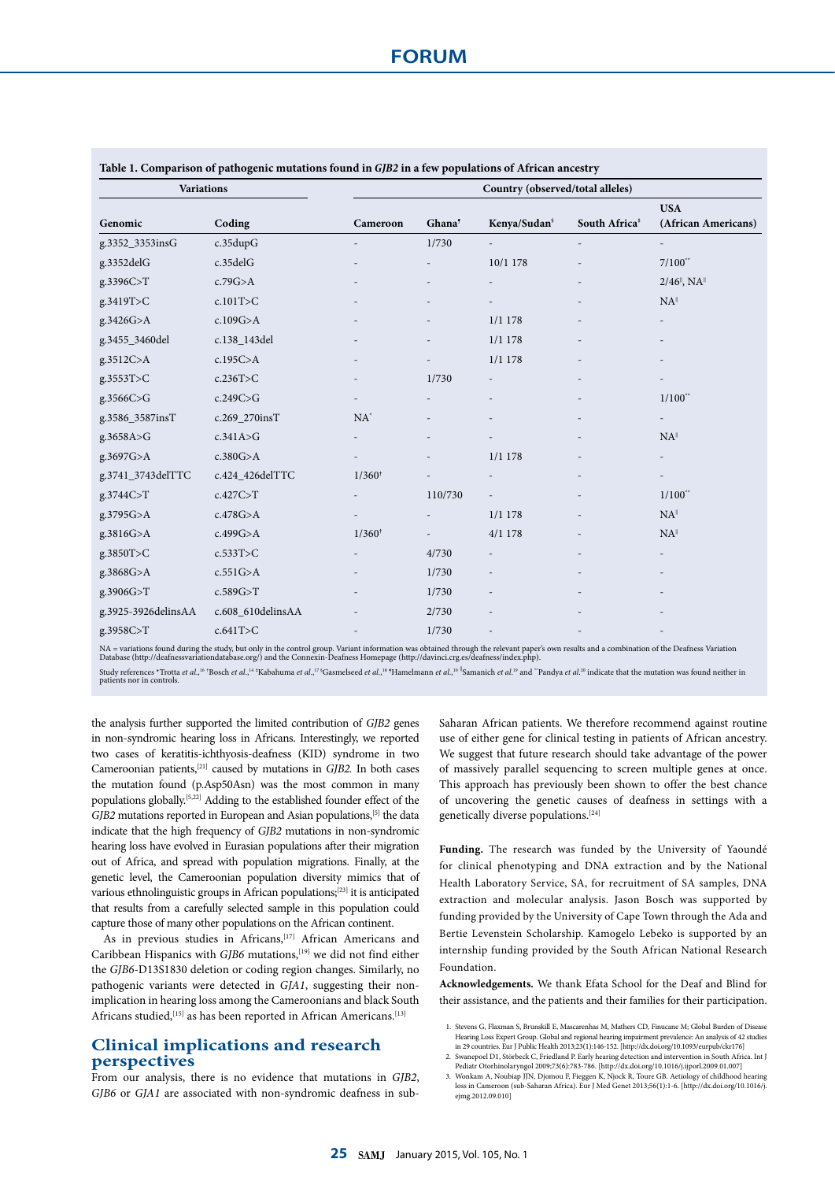| <b>Variations</b>   |                   | Country (observed/total alleles) |                    |                          |                           |                                                           |
|---------------------|-------------------|----------------------------------|--------------------|--------------------------|---------------------------|-----------------------------------------------------------|
| Genomic             | Coding            | Cameroon                         | Ghana <sup>5</sup> | Kenya/Sudan <sup>§</sup> | South Africa <sup>#</sup> | <b>USA</b><br>(African Americans)                         |
| g.3352_3353insG     | c.35dupG          |                                  | 1/730              |                          |                           |                                                           |
| g.3352delG          | c.35delG          |                                  |                    | 10/1 178                 |                           | $7/100**$                                                 |
| g.3396C>T           | c.79G>A           |                                  |                    |                          |                           | $2/46$ <sup><math>\parallel</math></sup> , NA $\parallel$ |
| g.3419T>C           | c.101T>C          |                                  |                    |                          |                           | $NA$ <sup><math>  </math></sup>                           |
| g.3426G>A           | c.109 $G$ >A      |                                  |                    | $1/1$ 178                |                           | $\overline{\phantom{a}}$                                  |
| g.3455_3460del      | c.138_143del      |                                  |                    | 1/1 178                  |                           |                                                           |
| g.3512C>A           | c.195C > A        |                                  |                    | $1/1$ 178                |                           |                                                           |
| g.3553T>C           | c.236T>C          |                                  | 1/730              |                          |                           |                                                           |
| g.3566C>G           | c.249C > G        |                                  |                    |                          |                           | $1/100^{**}$                                              |
| g.3586_3587insT     | c.269_270insT     | $NA^*$                           |                    |                          |                           |                                                           |
| g.3658A > G         | c.341A > G        |                                  |                    |                          |                           | $NA$ <sup><math>  </math></sup>                           |
| g.3697G>A           | c.380G > A        |                                  |                    | $1/1$ 178                |                           |                                                           |
| g.3741_3743delTTC   | c.424_426delTTC   | $1/360^{\dagger}$                |                    |                          |                           |                                                           |
| g.3744C>T           | c.427C > T        |                                  | 110/730            |                          |                           | $1/100^{**}$                                              |
| g.3795G>A           | c.478G > A        |                                  |                    | $1/1$ 178                |                           | $NA$ <sup><math>  </math></sup>                           |
| g.3816G>A           | c.499 $G$ >A      | $1/360^{\dagger}$                | $\overline{a}$     | $4/1$ 178                |                           | $NA$ <sup><math>  </math></sup>                           |
| g.3850T>C           | c.533T>C          |                                  | 4/730              |                          |                           |                                                           |
| g.3868G>A           | c.551G>A          |                                  | 1/730              |                          |                           |                                                           |
| g.3906G>T           | c.589G>T          |                                  | 1/730              |                          |                           |                                                           |
| g.3925-3926delinsAA | c.608_610delinsAA |                                  | 2/730              |                          |                           |                                                           |
| g.3958C>T           | c.641T>C          |                                  | 1/730              |                          |                           |                                                           |

### **Table 1. Comparison of pathogenic mutations found in** *GJB2* **in a few populations of African ancestry**

NA = variations found during the study, but only in the control group. Variant information was obtained through the relevant paper's own results and a combination of the Deafness Variation<br>Database (http://deafnessvariatio

Study references "Trotta et al.,<sup>16</sup> "Bosch et al.,<sup>14</sup> "Kabahuma et al.,<sup>17</sup> "Gasmelseed et al.,<sup>18</sup> "Hamelmann et al.,<sup>10</sup> "Samanich et al.<sup>19</sup> and ``Pandya et al.<sup>20</sup> indicate that the mutation was found neither in pati

the analysis further supported the limited contribution of *GJB2* genes in non-syndromic hearing loss in Africans. Interestingly, we reported two cases of keratitis-ichthyosis-deafness (KID) syndrome in two Cameroonian patients,[21] caused by mutations in *GJB2.* In both cases the mutation found (p.Asp50Asn) was the most common in many populations globally.[5,22] Adding to the established founder effect of the *GJB2* mutations reported in European and Asian populations,<sup>[5]</sup> the data indicate that the high frequency of *GJB2* mutations in non-syndromic hearing loss have evolved in Eurasian populations after their migration out of Africa, and spread with population migrations. Finally, at the genetic level, the Cameroonian population diversity mimics that of various ethnolinguistic groups in African populations;[23] it is anticipated that results from a carefully selected sample in this population could capture those of many other populations on the African continent.

As in previous studies in Africans,<sup>[17]</sup> African Americans and Caribbean Hispanics with *GJB6* mutations,<sup>[19]</sup> we did not find either the *GJB6*-D13S1830 deletion or coding region changes. Similarly, no pathogenic variants were detected in *GJA1*, suggesting their nonimplication in hearing loss among the Cameroonians and black South Africans studied,<sup>[15]</sup> as has been reported in African Americans.<sup>[13]</sup>

### **Clinical implications and research perspectives**

From our analysis, there is no evidence that mutations in *GJB2*, *GJB6* or *GJA1* are associated with non-syndromic deafness in subSaharan African patients. We therefore recommend against routine use of either gene for clinical testing in patients of African ancestry. We suggest that future research should take advantage of the power of massively parallel sequencing to screen multiple genes at once. This approach has previously been shown to offer the best chance of uncovering the genetic causes of deafness in settings with a genetically diverse populations.[24]

**Funding.** The research was funded by the University of Yaoundé for clinical phenotyping and DNA extraction and by the National Health Laboratory Service, SA, for recruitment of SA samples, DNA extraction and molecular analysis. Jason Bosch was supported by funding provided by the University of Cape Town through the Ada and Bertie Levenstein Scholarship. Kamogelo Lebeko is supported by an internship funding provided by the South African National Research Foundation.

**Acknowledgements.** We thank Efata School for the Deaf and Blind for their assistance, and the patients and their families for their participation.

<sup>1.</sup> Stevens G, Flaxman S, Brunskill E, Mascarenhas M, Mathers CD, Finucane M; Global Burden of Disease Hearing Loss Expert Group. Global and regional hearing impairment prevalence: An analysis of 42 studies in 29 countries. Eur J Public Health 2013;23(1):146-152. [http://dx.doi.org/10.1093/eurpub/ckr176] 2. Swanepoel D1, Störbeck C, Friedland P. Early hearing detection and intervention in South Africa. Int J

Pediatr Otorhinolaryngol 2009;73(6):783-786. [http://dx.doi.org/10.1016/j.ijporl.2009.01.007]

<sup>3.</sup> Wonkam A, Noubiap JJN, Djomou F, Fieggen K, Njock R, Toure GB. Aetiology of childhood hearing loss in Cameroon (sub-Saharan Africa). Eur J Med Genet 2013;56(1):1-6. [http://dx.doi.org/10.1016/j. ejmg.2012.09.010]